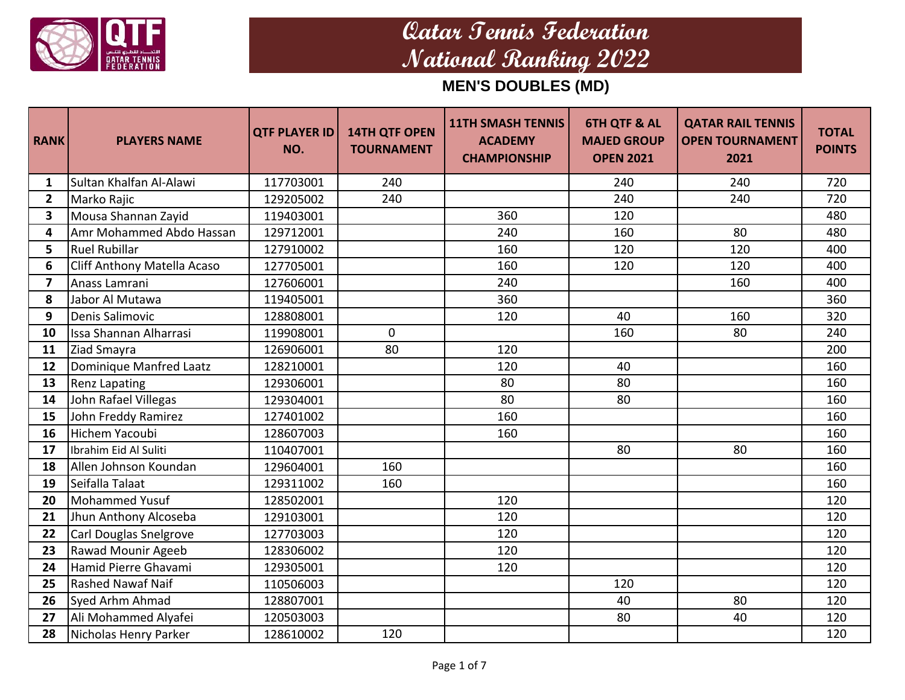

| <b>RANK</b>             | <b>PLAYERS NAME</b>           | <b>QTF PLAYER ID</b><br>NO. | <b>14TH QTF OPEN</b><br><b>TOURNAMENT</b> | <b>11TH SMASH TENNIS</b><br><b>ACADEMY</b><br><b>CHAMPIONSHIP</b> | <b>6TH QTF &amp; AL</b><br><b>MAJED GROUP</b><br><b>OPEN 2021</b> | <b>QATAR RAIL TENNIS</b><br><b>OPEN TOURNAMENT</b><br>2021 | <b>TOTAL</b><br><b>POINTS</b> |
|-------------------------|-------------------------------|-----------------------------|-------------------------------------------|-------------------------------------------------------------------|-------------------------------------------------------------------|------------------------------------------------------------|-------------------------------|
| 1                       | Sultan Khalfan Al-Alawi       | 117703001                   | 240                                       |                                                                   | 240                                                               | 240                                                        | 720                           |
| $\overline{2}$          | Marko Rajic                   | 129205002                   | 240                                       |                                                                   | 240                                                               | 240                                                        | 720                           |
| $\overline{\mathbf{3}}$ | Mousa Shannan Zayid           | 119403001                   |                                           | 360                                                               | 120                                                               |                                                            | 480                           |
| 4                       | Amr Mohammed Abdo Hassan      | 129712001                   |                                           | 240                                                               | 160                                                               | 80                                                         | 480                           |
| 5                       | <b>Ruel Rubillar</b>          | 127910002                   |                                           | 160                                                               | 120                                                               | 120                                                        | 400                           |
| 6                       | Cliff Anthony Matella Acaso   | 127705001                   |                                           | 160                                                               | 120                                                               | 120                                                        | 400                           |
| 7                       | Anass Lamrani                 | 127606001                   |                                           | 240                                                               |                                                                   | 160                                                        | 400                           |
| 8                       | Jabor Al Mutawa               | 119405001                   |                                           | 360                                                               |                                                                   |                                                            | 360                           |
| 9                       | Denis Salimovic               | 128808001                   |                                           | 120                                                               | 40                                                                | 160                                                        | 320                           |
| 10                      | <b>Issa Shannan Alharrasi</b> | 119908001                   | $\mathbf 0$                               |                                                                   | 160                                                               | 80                                                         | 240                           |
| 11                      | Ziad Smayra                   | 126906001                   | 80                                        | 120                                                               |                                                                   |                                                            | 200                           |
| 12                      | Dominique Manfred Laatz       | 128210001                   |                                           | 120                                                               | 40                                                                |                                                            | 160                           |
| 13                      | <b>Renz Lapating</b>          | 129306001                   |                                           | 80                                                                | 80                                                                |                                                            | 160                           |
| 14                      | John Rafael Villegas          | 129304001                   |                                           | 80                                                                | 80                                                                |                                                            | 160                           |
| 15                      | John Freddy Ramirez           | 127401002                   |                                           | 160                                                               |                                                                   |                                                            | 160                           |
| 16                      | Hichem Yacoubi                | 128607003                   |                                           | 160                                                               |                                                                   |                                                            | 160                           |
| 17                      | Ibrahim Eid Al Suliti         | 110407001                   |                                           |                                                                   | 80                                                                | 80                                                         | 160                           |
| 18                      | Allen Johnson Koundan         | 129604001                   | 160                                       |                                                                   |                                                                   |                                                            | 160                           |
| 19                      | Seifalla Talaat               | 129311002                   | 160                                       |                                                                   |                                                                   |                                                            | 160                           |
| 20                      | Mohammed Yusuf                | 128502001                   |                                           | 120                                                               |                                                                   |                                                            | 120                           |
| 21                      | Jhun Anthony Alcoseba         | 129103001                   |                                           | 120                                                               |                                                                   |                                                            | 120                           |
| 22                      | Carl Douglas Snelgrove        | 127703003                   |                                           | 120                                                               |                                                                   |                                                            | 120                           |
| 23                      | Rawad Mounir Ageeb            | 128306002                   |                                           | 120                                                               |                                                                   |                                                            | 120                           |
| 24                      | Hamid Pierre Ghavami          | 129305001                   |                                           | 120                                                               |                                                                   |                                                            | 120                           |
| 25                      | <b>Rashed Nawaf Naif</b>      | 110506003                   |                                           |                                                                   | 120                                                               |                                                            | 120                           |
| 26                      | Syed Arhm Ahmad               | 128807001                   |                                           |                                                                   | 40                                                                | 80                                                         | 120                           |
| 27                      | Ali Mohammed Alyafei          | 120503003                   |                                           |                                                                   | 80                                                                | 40                                                         | 120                           |
| 28                      | Nicholas Henry Parker         | 128610002                   | 120                                       |                                                                   |                                                                   |                                                            | 120                           |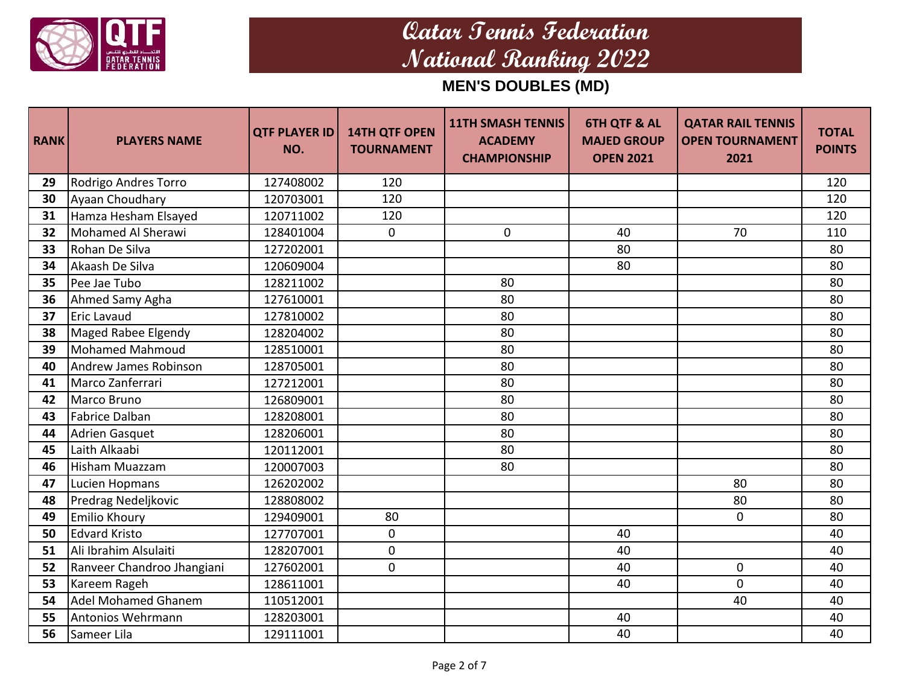

| <b>RANK</b> | <b>PLAYERS NAME</b>        | <b>QTF PLAYER ID</b><br>NO. | <b>14TH QTF OPEN</b><br><b>TOURNAMENT</b> | <b>11TH SMASH TENNIS</b><br><b>ACADEMY</b><br><b>CHAMPIONSHIP</b> | <b>6TH QTF &amp; AL</b><br><b>MAJED GROUP</b><br><b>OPEN 2021</b> | <b>QATAR RAIL TENNIS</b><br><b>OPEN TOURNAMENT</b><br>2021 | <b>TOTAL</b><br><b>POINTS</b> |
|-------------|----------------------------|-----------------------------|-------------------------------------------|-------------------------------------------------------------------|-------------------------------------------------------------------|------------------------------------------------------------|-------------------------------|
| 29          | Rodrigo Andres Torro       | 127408002                   | 120                                       |                                                                   |                                                                   |                                                            | 120                           |
| 30          | Ayaan Choudhary            | 120703001                   | 120                                       |                                                                   |                                                                   |                                                            | 120                           |
| 31          | Hamza Hesham Elsayed       | 120711002                   | 120                                       |                                                                   |                                                                   |                                                            | 120                           |
| 32          | Mohamed Al Sherawi         | 128401004                   | $\mathbf 0$                               | $\mathbf 0$                                                       | 40                                                                | 70                                                         | 110                           |
| 33          | Rohan De Silva             | 127202001                   |                                           |                                                                   | 80                                                                |                                                            | 80                            |
| 34          | Akaash De Silva            | 120609004                   |                                           |                                                                   | 80                                                                |                                                            | 80                            |
| 35          | Pee Jae Tubo               | 128211002                   |                                           | 80                                                                |                                                                   |                                                            | 80                            |
| 36          | Ahmed Samy Agha            | 127610001                   |                                           | 80                                                                |                                                                   |                                                            | 80                            |
| 37          | <b>Eric Lavaud</b>         | 127810002                   |                                           | 80                                                                |                                                                   |                                                            | 80                            |
| 38          | Maged Rabee Elgendy        | 128204002                   |                                           | 80                                                                |                                                                   |                                                            | 80                            |
| 39          | Mohamed Mahmoud            | 128510001                   |                                           | 80                                                                |                                                                   |                                                            | 80                            |
| 40          | Andrew James Robinson      | 128705001                   |                                           | 80                                                                |                                                                   |                                                            | 80                            |
| 41          | Marco Zanferrari           | 127212001                   |                                           | 80                                                                |                                                                   |                                                            | 80                            |
| 42          | Marco Bruno                | 126809001                   |                                           | 80                                                                |                                                                   |                                                            | 80                            |
| 43          | Fabrice Dalban             | 128208001                   |                                           | 80                                                                |                                                                   |                                                            | 80                            |
| 44          | <b>Adrien Gasquet</b>      | 128206001                   |                                           | 80                                                                |                                                                   |                                                            | 80                            |
| 45          | Laith Alkaabi              | 120112001                   |                                           | 80                                                                |                                                                   |                                                            | 80                            |
| 46          | Hisham Muazzam             | 120007003                   |                                           | 80                                                                |                                                                   |                                                            | 80                            |
| 47          | Lucien Hopmans             | 126202002                   |                                           |                                                                   |                                                                   | 80                                                         | 80                            |
| 48          | Predrag Nedeljkovic        | 128808002                   |                                           |                                                                   |                                                                   | 80                                                         | 80                            |
| 49          | <b>Emilio Khoury</b>       | 129409001                   | 80                                        |                                                                   |                                                                   | 0                                                          | 80                            |
| 50          | <b>Edvard Kristo</b>       | 127707001                   | $\mathbf 0$                               |                                                                   | 40                                                                |                                                            | 40                            |
| 51          | Ali Ibrahim Alsulaiti      | 128207001                   | $\mathbf 0$                               |                                                                   | 40                                                                |                                                            | 40                            |
| 52          | Ranveer Chandroo Jhangiani | 127602001                   | $\mathbf 0$                               |                                                                   | 40                                                                | 0                                                          | 40                            |
| 53          | Kareem Rageh               | 128611001                   |                                           |                                                                   | 40                                                                | 0                                                          | 40                            |
| 54          | <b>Adel Mohamed Ghanem</b> | 110512001                   |                                           |                                                                   |                                                                   | 40                                                         | 40                            |
| 55          | Antonios Wehrmann          | 128203001                   |                                           |                                                                   | 40                                                                |                                                            | 40                            |
| 56          | Sameer Lila                | 129111001                   |                                           |                                                                   | 40                                                                |                                                            | 40                            |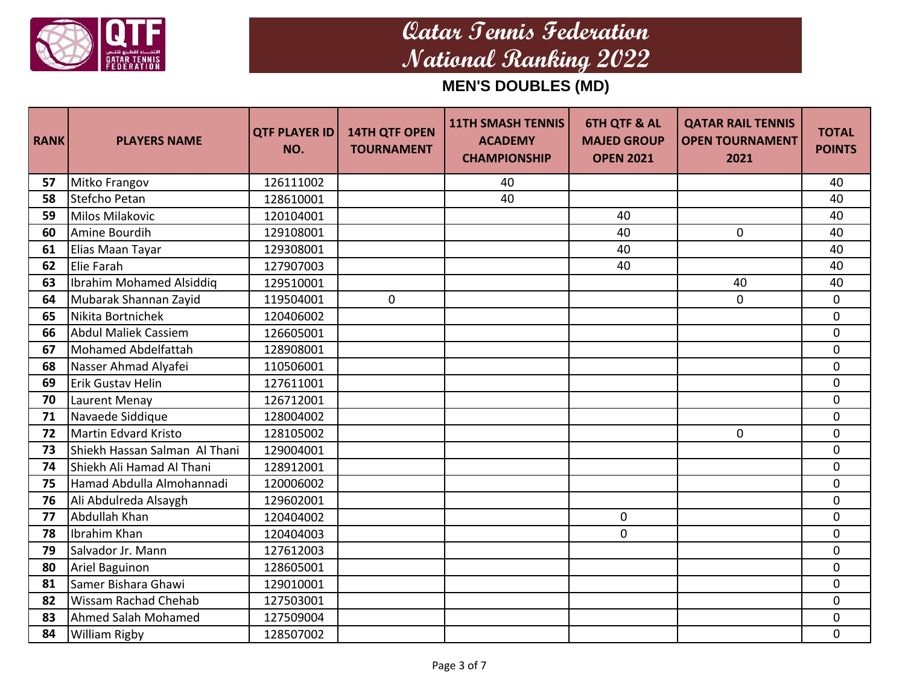

| <b>RANK</b> | <b>PLAYERS NAME</b>             | <b>QTF PLAYER ID</b><br>NO. | <b>14TH QTF OPEN</b><br><b>TOURNAMENT</b> | <b>11TH SMASH TENNIS</b><br><b>ACADEMY</b><br><b>CHAMPIONSHIP</b> | <b>6TH QTF &amp; AL</b><br><b>MAJED GROUP</b><br><b>OPEN 2021</b> | <b>QATAR RAIL TENNIS</b><br><b>OPEN TOURNAMENT</b><br>2021 | <b>TOTAL</b><br><b>POINTS</b> |
|-------------|---------------------------------|-----------------------------|-------------------------------------------|-------------------------------------------------------------------|-------------------------------------------------------------------|------------------------------------------------------------|-------------------------------|
| 57          | Mitko Frangov                   | 126111002                   |                                           | 40                                                                |                                                                   |                                                            | 40                            |
| 58          | Stefcho Petan                   | 128610001                   |                                           | 40                                                                |                                                                   |                                                            | 40                            |
| 59          | <b>Milos Milakovic</b>          | 120104001                   |                                           |                                                                   | 40                                                                |                                                            | 40                            |
| 60          | Amine Bourdih                   | 129108001                   |                                           |                                                                   | 40                                                                | $\mathbf 0$                                                | 40                            |
| 61          | Elias Maan Tayar                | 129308001                   |                                           |                                                                   | 40                                                                |                                                            | 40                            |
| 62          | Elie Farah                      | 127907003                   |                                           |                                                                   | 40                                                                |                                                            | 40                            |
| 63          | <b>Ibrahim Mohamed Alsiddig</b> | 129510001                   |                                           |                                                                   |                                                                   | 40                                                         | 40                            |
| 64          | Mubarak Shannan Zayid           | 119504001                   | $\mathbf 0$                               |                                                                   |                                                                   | 0                                                          | $\mathbf 0$                   |
| 65          | Nikita Bortnichek               | 120406002                   |                                           |                                                                   |                                                                   |                                                            | $\mathbf 0$                   |
| 66          | <b>Abdul Maliek Cassiem</b>     | 126605001                   |                                           |                                                                   |                                                                   |                                                            | 0                             |
| 67          | <b>Mohamed Abdelfattah</b>      | 128908001                   |                                           |                                                                   |                                                                   |                                                            | $\mathbf 0$                   |
| 68          | Nasser Ahmad Alyafei            | 110506001                   |                                           |                                                                   |                                                                   |                                                            | 0                             |
| 69          | Erik Gustav Helin               | 127611001                   |                                           |                                                                   |                                                                   |                                                            | $\mathbf 0$                   |
| 70          | Laurent Menay                   | 126712001                   |                                           |                                                                   |                                                                   |                                                            | $\mathbf 0$                   |
| 71          | Navaede Siddique                | 128004002                   |                                           |                                                                   |                                                                   |                                                            | $\Omega$                      |
| 72          | <b>Martin Edvard Kristo</b>     | 128105002                   |                                           |                                                                   |                                                                   | 0                                                          | $\mathbf 0$                   |
| 73          | Shiekh Hassan Salman Al Thani   | 129004001                   |                                           |                                                                   |                                                                   |                                                            | $\mathbf 0$                   |
| 74          | Shiekh Ali Hamad Al Thani       | 128912001                   |                                           |                                                                   |                                                                   |                                                            | $\mathbf 0$                   |
| 75          | Hamad Abdulla Almohannadi       | 120006002                   |                                           |                                                                   |                                                                   |                                                            | $\mathbf 0$                   |
| 76          | Ali Abdulreda Alsaygh           | 129602001                   |                                           |                                                                   |                                                                   |                                                            | $\mathbf 0$                   |
| 77          | Abdullah Khan                   | 120404002                   |                                           |                                                                   | $\mathbf 0$                                                       |                                                            | $\mathbf 0$                   |
| 78          | Ibrahim Khan                    | 120404003                   |                                           |                                                                   | $\mathbf{0}$                                                      |                                                            | $\mathbf 0$                   |
| 79          | Salvador Jr. Mann               | 127612003                   |                                           |                                                                   |                                                                   |                                                            | $\mathbf 0$                   |
| 80          | Ariel Baguinon                  | 128605001                   |                                           |                                                                   |                                                                   |                                                            | $\pmb{0}$                     |
| 81          | Samer Bishara Ghawi             | 129010001                   |                                           |                                                                   |                                                                   |                                                            | 0                             |
| 82          | Wissam Rachad Chehab            | 127503001                   |                                           |                                                                   |                                                                   |                                                            | 0                             |
| 83          | Ahmed Salah Mohamed             | 127509004                   |                                           |                                                                   |                                                                   |                                                            | $\mathbf 0$                   |
| 84          | <b>William Rigby</b>            | 128507002                   |                                           |                                                                   |                                                                   |                                                            | $\mathbf 0$                   |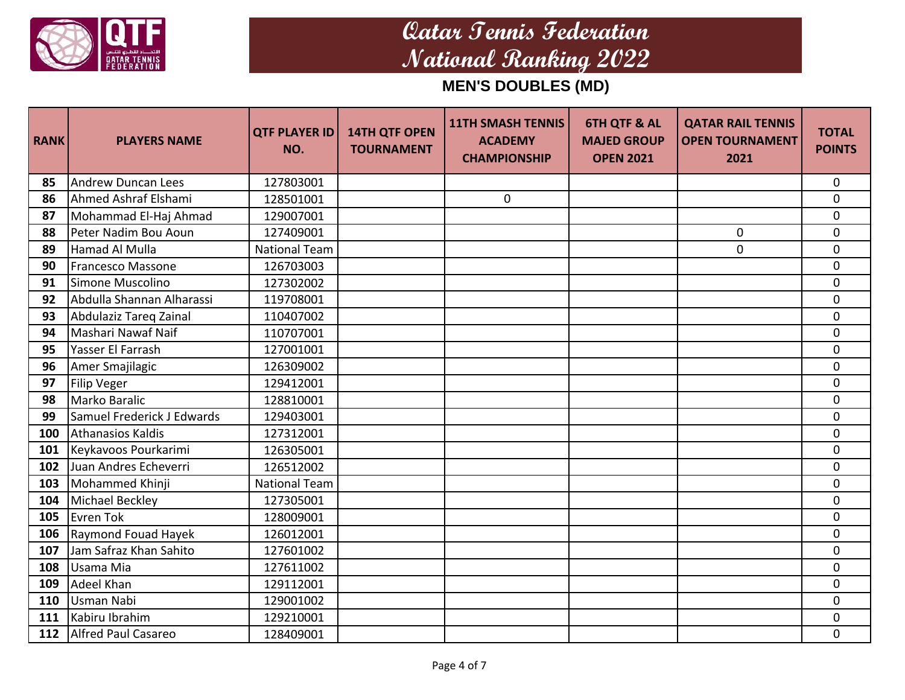

| <b>RANK</b> | <b>PLAYERS NAME</b>        | <b>QTF PLAYER ID</b><br>NO. | <b>14TH QTF OPEN</b><br><b>TOURNAMENT</b> | <b>11TH SMASH TENNIS</b><br><b>ACADEMY</b><br><b>CHAMPIONSHIP</b> | <b>6TH QTF &amp; AL</b><br><b>MAJED GROUP</b><br><b>OPEN 2021</b> | <b>QATAR RAIL TENNIS</b><br><b>OPEN TOURNAMENT</b><br>2021 | <b>TOTAL</b><br><b>POINTS</b> |
|-------------|----------------------------|-----------------------------|-------------------------------------------|-------------------------------------------------------------------|-------------------------------------------------------------------|------------------------------------------------------------|-------------------------------|
| 85          | <b>Andrew Duncan Lees</b>  | 127803001                   |                                           |                                                                   |                                                                   |                                                            | $\mathbf 0$                   |
| 86          | Ahmed Ashraf Elshami       | 128501001                   |                                           | $\mathbf 0$                                                       |                                                                   |                                                            | $\mathbf 0$                   |
| 87          | Mohammad El-Haj Ahmad      | 129007001                   |                                           |                                                                   |                                                                   |                                                            | $\mathbf 0$                   |
| 88          | Peter Nadim Bou Aoun       | 127409001                   |                                           |                                                                   |                                                                   | $\mathbf 0$                                                | $\mathbf 0$                   |
| 89          | <b>Hamad Al Mulla</b>      | <b>National Team</b>        |                                           |                                                                   |                                                                   | $\mathbf 0$                                                | $\mathbf 0$                   |
| 90          | <b>Francesco Massone</b>   | 126703003                   |                                           |                                                                   |                                                                   |                                                            | $\mathbf 0$                   |
| 91          | Simone Muscolino           | 127302002                   |                                           |                                                                   |                                                                   |                                                            | $\pmb{0}$                     |
| 92          | Abdulla Shannan Alharassi  | 119708001                   |                                           |                                                                   |                                                                   |                                                            | $\mathbf 0$                   |
| 93          | Abdulaziz Tareq Zainal     | 110407002                   |                                           |                                                                   |                                                                   |                                                            | $\mathbf 0$                   |
| 94          | Mashari Nawaf Naif         | 110707001                   |                                           |                                                                   |                                                                   |                                                            | $\mathbf 0$                   |
| 95          | Yasser El Farrash          | 127001001                   |                                           |                                                                   |                                                                   |                                                            | $\mathbf 0$                   |
| 96          | Amer Smajilagic            | 126309002                   |                                           |                                                                   |                                                                   |                                                            | $\mathbf 0$                   |
| 97          | Filip Veger                | 129412001                   |                                           |                                                                   |                                                                   |                                                            | $\mathbf 0$                   |
| 98          | Marko Baralic              | 128810001                   |                                           |                                                                   |                                                                   |                                                            | $\mathbf 0$                   |
| 99          | Samuel Frederick J Edwards | 129403001                   |                                           |                                                                   |                                                                   |                                                            | $\mathbf 0$                   |
| 100         | Athanasios Kaldis          | 127312001                   |                                           |                                                                   |                                                                   |                                                            | $\mathbf 0$                   |
| 101         | Keykavoos Pourkarimi       | 126305001                   |                                           |                                                                   |                                                                   |                                                            | $\overline{0}$                |
| 102         | Juan Andres Echeverri      | 126512002                   |                                           |                                                                   |                                                                   |                                                            | $\mathbf 0$                   |
| 103         | Mohammed Khinji            | <b>National Team</b>        |                                           |                                                                   |                                                                   |                                                            | $\mathbf 0$                   |
| 104         | <b>Michael Beckley</b>     | 127305001                   |                                           |                                                                   |                                                                   |                                                            | $\overline{0}$                |
| 105         | <b>Evren Tok</b>           | 128009001                   |                                           |                                                                   |                                                                   |                                                            | $\mathbf 0$                   |
| 106         | Raymond Fouad Hayek        | 126012001                   |                                           |                                                                   |                                                                   |                                                            | $\mathbf 0$                   |
| 107         | Jam Safraz Khan Sahito     | 127601002                   |                                           |                                                                   |                                                                   |                                                            | $\mathbf 0$                   |
| 108         | Usama Mia                  | 127611002                   |                                           |                                                                   |                                                                   |                                                            | $\mathbf 0$                   |
| 109         | <b>Adeel Khan</b>          | 129112001                   |                                           |                                                                   |                                                                   |                                                            | $\mathbf 0$                   |
| 110         | Usman Nabi                 | 129001002                   |                                           |                                                                   |                                                                   |                                                            | $\Omega$                      |
| 111         | Kabiru Ibrahim             | 129210001                   |                                           |                                                                   |                                                                   |                                                            | 0                             |
| 112         | Alfred Paul Casareo        | 128409001                   |                                           |                                                                   |                                                                   |                                                            | $\pmb{0}$                     |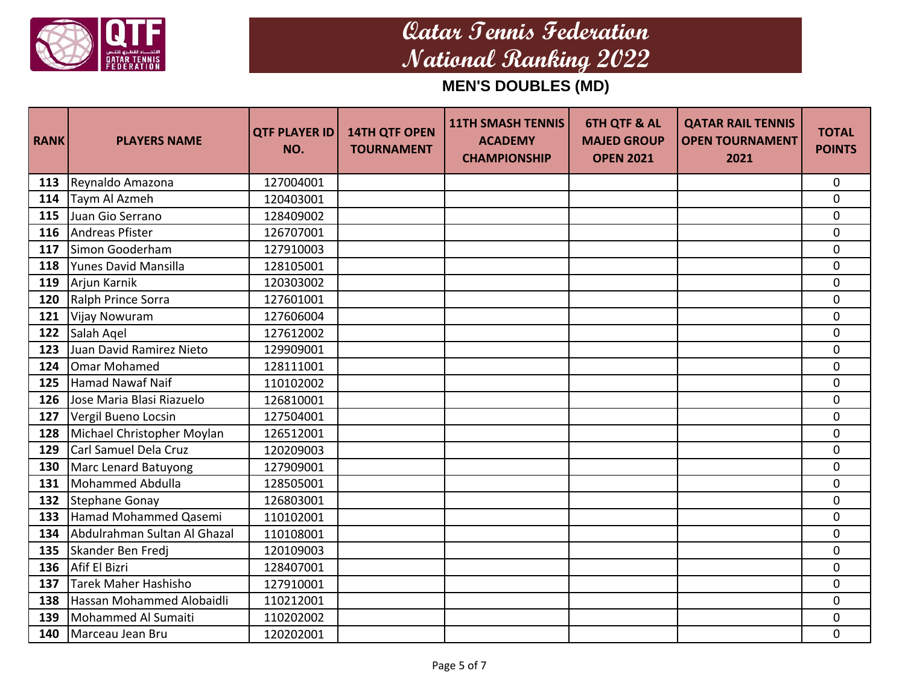

| <b>RANK</b> | <b>PLAYERS NAME</b>          | <b>QTF PLAYER ID</b><br>NO. | <b>14TH QTF OPEN</b><br><b>TOURNAMENT</b> | <b>11TH SMASH TENNIS</b><br><b>ACADEMY</b><br><b>CHAMPIONSHIP</b> | <b>6TH QTF &amp; AL</b><br><b>MAJED GROUP</b><br><b>OPEN 2021</b> | <b>QATAR RAIL TENNIS</b><br><b>OPEN TOURNAMENT</b><br>2021 | <b>TOTAL</b><br><b>POINTS</b> |
|-------------|------------------------------|-----------------------------|-------------------------------------------|-------------------------------------------------------------------|-------------------------------------------------------------------|------------------------------------------------------------|-------------------------------|
| 113         | Reynaldo Amazona             | 127004001                   |                                           |                                                                   |                                                                   |                                                            | $\mathbf 0$                   |
| 114         | Taym Al Azmeh                | 120403001                   |                                           |                                                                   |                                                                   |                                                            | 0                             |
| 115         | lJuan Gio Serrano            | 128409002                   |                                           |                                                                   |                                                                   |                                                            | $\mathbf{0}$                  |
| 116         | Andreas Pfister              | 126707001                   |                                           |                                                                   |                                                                   |                                                            | $\mathbf 0$                   |
| 117         | Simon Gooderham              | 127910003                   |                                           |                                                                   |                                                                   |                                                            | $\mathbf 0$                   |
| 118         | Yunes David Mansilla         | 128105001                   |                                           |                                                                   |                                                                   |                                                            | $\mathbf 0$                   |
| 119         | Arjun Karnik                 | 120303002                   |                                           |                                                                   |                                                                   |                                                            | $\mathbf 0$                   |
| 120         | Ralph Prince Sorra           | 127601001                   |                                           |                                                                   |                                                                   |                                                            | $\mathbf 0$                   |
| 121         | Vijay Nowuram                | 127606004                   |                                           |                                                                   |                                                                   |                                                            | $\mathbf 0$                   |
| 122         | Salah Agel                   | 127612002                   |                                           |                                                                   |                                                                   |                                                            | 0                             |
| 123         | Juan David Ramirez Nieto     | 129909001                   |                                           |                                                                   |                                                                   |                                                            | $\mathbf 0$                   |
| 124         | Omar Mohamed                 | 128111001                   |                                           |                                                                   |                                                                   |                                                            | $\mathbf 0$                   |
| 125         | <b>Hamad Nawaf Naif</b>      | 110102002                   |                                           |                                                                   |                                                                   |                                                            | $\mathbf 0$                   |
| 126         | Jose Maria Blasi Riazuelo    | 126810001                   |                                           |                                                                   |                                                                   |                                                            | $\mathbf 0$                   |
| 127         | Vergil Bueno Locsin          | 127504001                   |                                           |                                                                   |                                                                   |                                                            | $\mathbf 0$                   |
| 128         | Michael Christopher Moylan   | 126512001                   |                                           |                                                                   |                                                                   |                                                            | 0                             |
| 129         | Carl Samuel Dela Cruz        | 120209003                   |                                           |                                                                   |                                                                   |                                                            | $\mathbf 0$                   |
| 130         | Marc Lenard Batuyong         | 127909001                   |                                           |                                                                   |                                                                   |                                                            | $\mathbf 0$                   |
| 131         | Mohammed Abdulla             | 128505001                   |                                           |                                                                   |                                                                   |                                                            | $\mathbf 0$                   |
| 132         | Stephane Gonay               | 126803001                   |                                           |                                                                   |                                                                   |                                                            | 0                             |
| 133         | Hamad Mohammed Qasemi        | 110102001                   |                                           |                                                                   |                                                                   |                                                            | $\mathbf 0$                   |
| 134         | Abdulrahman Sultan Al Ghazal | 110108001                   |                                           |                                                                   |                                                                   |                                                            | 0                             |
| 135         | Skander Ben Fredj            | 120109003                   |                                           |                                                                   |                                                                   |                                                            | $\mathbf 0$                   |
| 136         | Afif El Bizri                | 128407001                   |                                           |                                                                   |                                                                   |                                                            | $\pmb{0}$                     |
| 137         | <b>Tarek Maher Hashisho</b>  | 127910001                   |                                           |                                                                   |                                                                   |                                                            | 0                             |
| 138         | Hassan Mohammed Alobaidli    | 110212001                   |                                           |                                                                   |                                                                   |                                                            | 0                             |
| 139         | Mohammed Al Sumaiti          | 110202002                   |                                           |                                                                   |                                                                   |                                                            | $\pmb{0}$                     |
| 140         | Marceau Jean Bru             | 120202001                   |                                           |                                                                   |                                                                   |                                                            | $\mathbf 0$                   |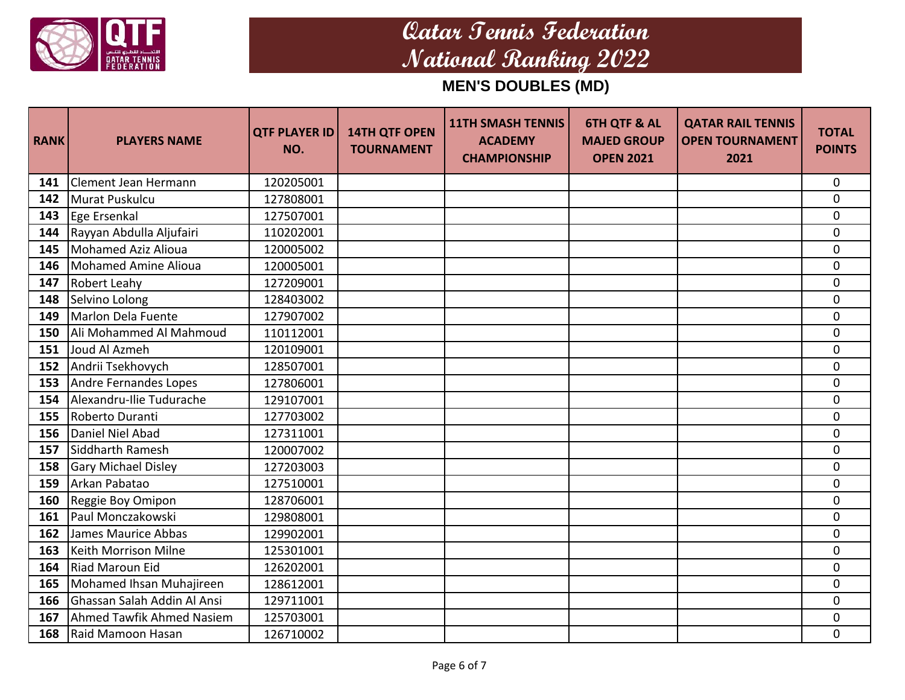

| <b>RANK</b> | <b>PLAYERS NAME</b>         | <b>QTF PLAYER ID</b><br>NO. | <b>14TH QTF OPEN</b><br><b>TOURNAMENT</b> | <b>11TH SMASH TENNIS</b><br><b>ACADEMY</b><br><b>CHAMPIONSHIP</b> | <b>6TH QTF &amp; AL</b><br><b>MAJED GROUP</b><br><b>OPEN 2021</b> | <b>QATAR RAIL TENNIS</b><br><b>OPEN TOURNAMENT</b><br>2021 | <b>TOTAL</b><br><b>POINTS</b> |
|-------------|-----------------------------|-----------------------------|-------------------------------------------|-------------------------------------------------------------------|-------------------------------------------------------------------|------------------------------------------------------------|-------------------------------|
| 141         | Clement Jean Hermann        | 120205001                   |                                           |                                                                   |                                                                   |                                                            | $\mathbf 0$                   |
| 142         | Murat Puskulcu              | 127808001                   |                                           |                                                                   |                                                                   |                                                            | 0                             |
| 143         | Ege Ersenkal                | 127507001                   |                                           |                                                                   |                                                                   |                                                            | 0                             |
| 144         | Rayyan Abdulla Aljufairi    | 110202001                   |                                           |                                                                   |                                                                   |                                                            | $\mathbf 0$                   |
| 145         | Mohamed Aziz Alioua         | 120005002                   |                                           |                                                                   |                                                                   |                                                            | $\mathbf 0$                   |
| 146         | Mohamed Amine Alioua        | 120005001                   |                                           |                                                                   |                                                                   |                                                            | $\mathbf 0$                   |
| 147         | <b>Robert Leahy</b>         | 127209001                   |                                           |                                                                   |                                                                   |                                                            | $\mathbf 0$                   |
| 148         | Selvino Lolong              | 128403002                   |                                           |                                                                   |                                                                   |                                                            | $\mathbf 0$                   |
| 149         | Marlon Dela Fuente          | 127907002                   |                                           |                                                                   |                                                                   |                                                            | 0                             |
| 150         | Ali Mohammed Al Mahmoud     | 110112001                   |                                           |                                                                   |                                                                   |                                                            | $\mathbf 0$                   |
| 151         | Joud Al Azmeh               | 120109001                   |                                           |                                                                   |                                                                   |                                                            | $\mathbf 0$                   |
| 152         | Andrii Tsekhovych           | 128507001                   |                                           |                                                                   |                                                                   |                                                            | $\mathbf 0$                   |
| 153         | Andre Fernandes Lopes       | 127806001                   |                                           |                                                                   |                                                                   |                                                            | $\mathbf 0$                   |
| 154         | Alexandru-Ilie Tudurache    | 129107001                   |                                           |                                                                   |                                                                   |                                                            | $\mathbf 0$                   |
| 155         | Roberto Duranti             | 127703002                   |                                           |                                                                   |                                                                   |                                                            | $\mathbf 0$                   |
| 156         | Daniel Niel Abad            | 127311001                   |                                           |                                                                   |                                                                   |                                                            | $\mathbf 0$                   |
| 157         | Siddharth Ramesh            | 120007002                   |                                           |                                                                   |                                                                   |                                                            | $\overline{0}$                |
| 158         | <b>Gary Michael Disley</b>  | 127203003                   |                                           |                                                                   |                                                                   |                                                            | $\mathbf 0$                   |
| 159         | Arkan Pabatao               | 127510001                   |                                           |                                                                   |                                                                   |                                                            | $\mathbf 0$                   |
| 160         | Reggie Boy Omipon           | 128706001                   |                                           |                                                                   |                                                                   |                                                            | 0                             |
| 161         | Paul Monczakowski           | 129808001                   |                                           |                                                                   |                                                                   |                                                            | $\mathbf 0$                   |
| 162         | James Maurice Abbas         | 129902001                   |                                           |                                                                   |                                                                   |                                                            | $\mathbf 0$                   |
| 163         | Keith Morrison Milne        | 125301001                   |                                           |                                                                   |                                                                   |                                                            | 0                             |
| 164         | Riad Maroun Eid             | 126202001                   |                                           |                                                                   |                                                                   |                                                            | $\pmb{0}$                     |
| 165         | Mohamed Ihsan Muhajireen    | 128612001                   |                                           |                                                                   |                                                                   |                                                            | $\mathbf 0$                   |
| 166         | Ghassan Salah Addin Al Ansi | 129711001                   |                                           |                                                                   |                                                                   |                                                            | $\mathbf 0$                   |
| 167         | Ahmed Tawfik Ahmed Nasiem   | 125703001                   |                                           |                                                                   |                                                                   |                                                            | 0                             |
| 168         | Raid Mamoon Hasan           | 126710002                   |                                           |                                                                   |                                                                   |                                                            | $\mathbf 0$                   |